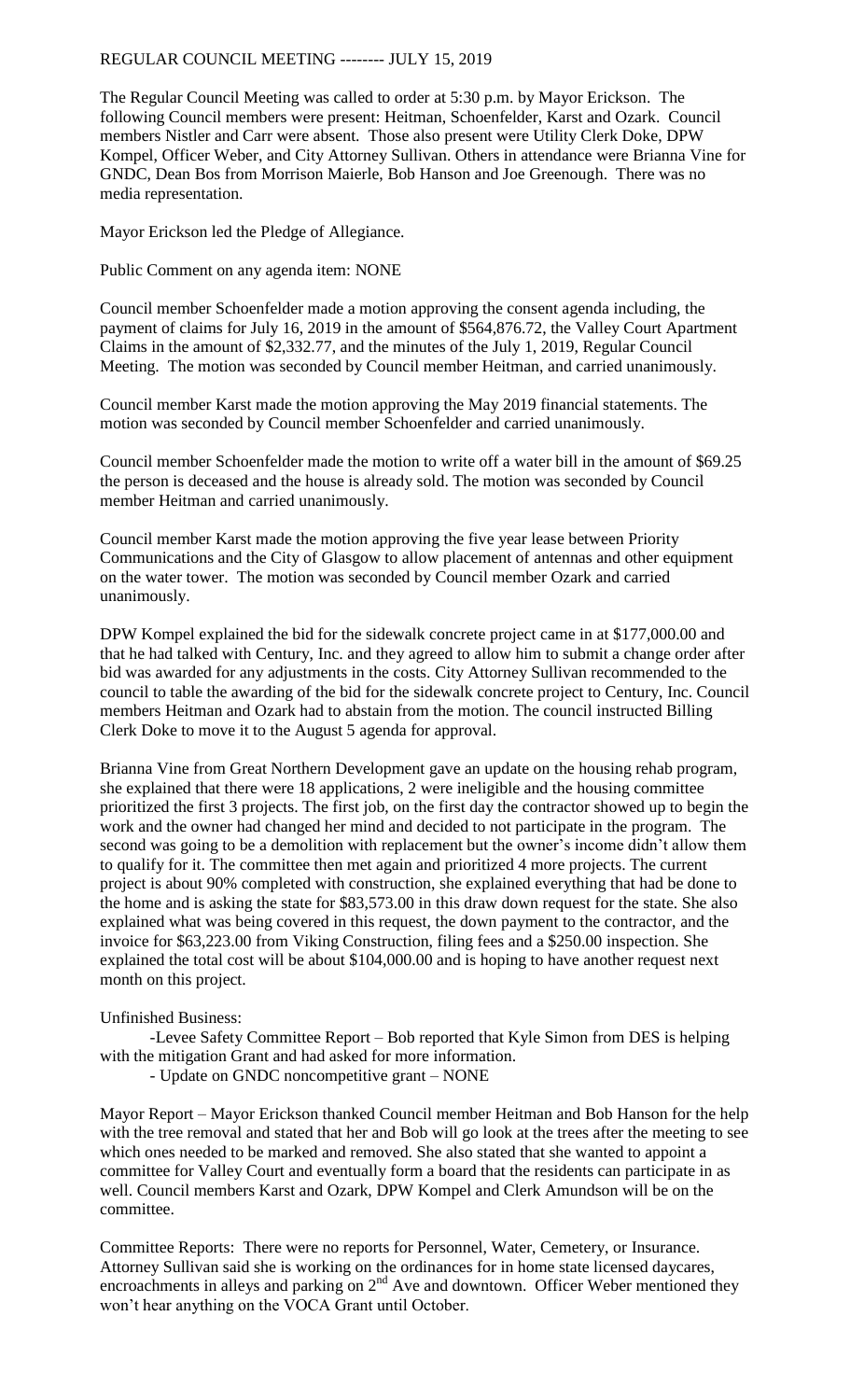## REGULAR COUNCIL MEETING -------- JULY 15, 2019

The Regular Council Meeting was called to order at 5:30 p.m. by Mayor Erickson. The following Council members were present: Heitman, Schoenfelder, Karst and Ozark. Council members Nistler and Carr were absent. Those also present were Utility Clerk Doke, DPW Kompel, Officer Weber, and City Attorney Sullivan. Others in attendance were Brianna Vine for GNDC, Dean Bos from Morrison Maierle, Bob Hanson and Joe Greenough. There was no media representation.

Mayor Erickson led the Pledge of Allegiance.

Public Comment on any agenda item: NONE

Council member Schoenfelder made a motion approving the consent agenda including, the payment of claims for July 16, 2019 in the amount of \$564,876.72, the Valley Court Apartment Claims in the amount of \$2,332.77, and the minutes of the July 1, 2019, Regular Council Meeting. The motion was seconded by Council member Heitman, and carried unanimously.

Council member Karst made the motion approving the May 2019 financial statements. The motion was seconded by Council member Schoenfelder and carried unanimously.

Council member Schoenfelder made the motion to write off a water bill in the amount of \$69.25 the person is deceased and the house is already sold. The motion was seconded by Council member Heitman and carried unanimously.

Council member Karst made the motion approving the five year lease between Priority Communications and the City of Glasgow to allow placement of antennas and other equipment on the water tower. The motion was seconded by Council member Ozark and carried unanimously.

DPW Kompel explained the bid for the sidewalk concrete project came in at \$177,000.00 and that he had talked with Century, Inc. and they agreed to allow him to submit a change order after bid was awarded for any adjustments in the costs. City Attorney Sullivan recommended to the council to table the awarding of the bid for the sidewalk concrete project to Century, Inc. Council members Heitman and Ozark had to abstain from the motion. The council instructed Billing Clerk Doke to move it to the August 5 agenda for approval.

Brianna Vine from Great Northern Development gave an update on the housing rehab program, she explained that there were 18 applications, 2 were ineligible and the housing committee prioritized the first 3 projects. The first job, on the first day the contractor showed up to begin the work and the owner had changed her mind and decided to not participate in the program. The second was going to be a demolition with replacement but the owner's income didn't allow them to qualify for it. The committee then met again and prioritized 4 more projects. The current project is about 90% completed with construction, she explained everything that had be done to the home and is asking the state for \$83,573.00 in this draw down request for the state. She also explained what was being covered in this request, the down payment to the contractor, and the invoice for \$63,223.00 from Viking Construction, filing fees and a \$250.00 inspection. She explained the total cost will be about \$104,000.00 and is hoping to have another request next month on this project.

## Unfinished Business:

-Levee Safety Committee Report – Bob reported that Kyle Simon from DES is helping with the mitigation Grant and had asked for more information.

- Update on GNDC noncompetitive grant – NONE

Mayor Report – Mayor Erickson thanked Council member Heitman and Bob Hanson for the help with the tree removal and stated that her and Bob will go look at the trees after the meeting to see which ones needed to be marked and removed. She also stated that she wanted to appoint a committee for Valley Court and eventually form a board that the residents can participate in as well. Council members Karst and Ozark, DPW Kompel and Clerk Amundson will be on the committee.

Committee Reports: There were no reports for Personnel, Water, Cemetery, or Insurance. Attorney Sullivan said she is working on the ordinances for in home state licensed daycares, encroachments in alleys and parking on  $2<sup>nd</sup>$  Ave and downtown. Officer Weber mentioned they won't hear anything on the VOCA Grant until October.